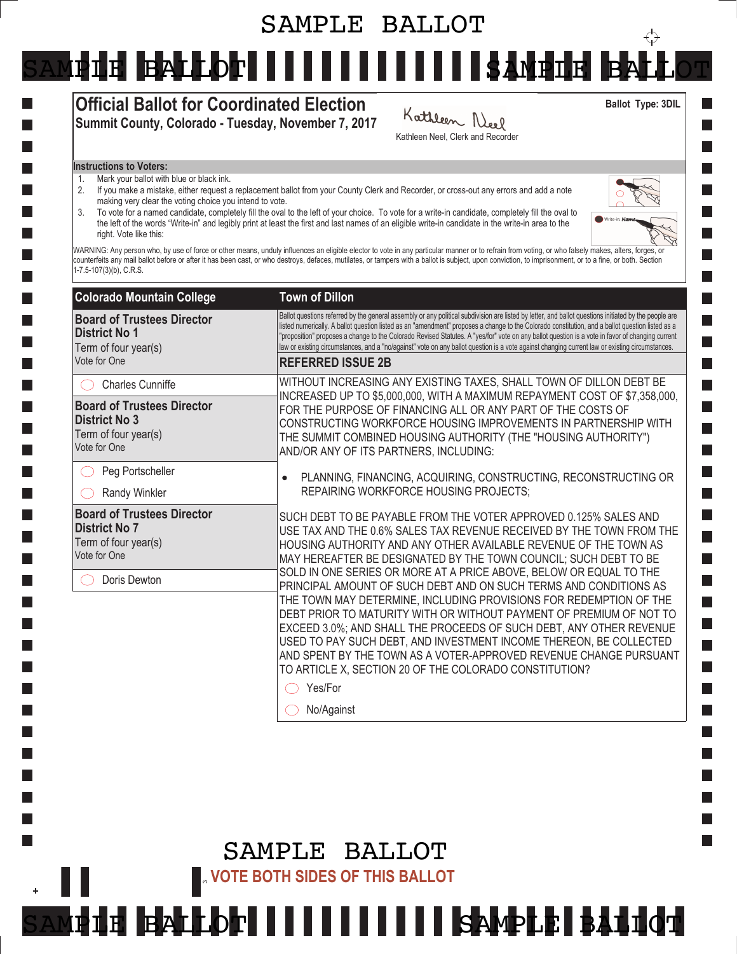# SAMPLE BALLOT

SAMPIE BALLOT IIIIIIIIIIIIIIIIIKAMPIE B

## Official Ballot for Coordinated Election Summit County, Colorado - Tuesday, November 7, 2017

Kathleen Neel Kathleen Neel, Clerk and Recorder

#### Instructions to Voters:

- 1. Mark your ballot with blue or black ink.
- 2. If you make a mistake, either request a replacement ballot from your County Clerk and Recorder, or cross-out any errors and add a note making very clear the voting choice you intend to vote.
- 3. To vote for a named candidate, completely fill the oval to the left of your choice. To vote for a write-in candidate, completely fill the oval to the left of the words "Write-in" and legibly print at least the first and last names of an eligible write-in candidate in the write-in area to the right. Vote like this:



**College**  $\mathbb{R}^n$ 

I.

 $\sim 10$ 

Ballot Type: 3DIL

 $\overleftrightarrow{\cdot}$ 

WARNING: Any person who, by use of force or other means, unduly influences an eligible elector to vote in any particular manner or to refrain from voting, or who falsely makes, alters, forges, or counterfeits any mail ballot before or after it has been cast, or who destroys, defaces, mutilates, or tampers with a ballot is subject, upon conviction, to imprisonment, or to a fine, or both. Section 1-7.5-107(3)(b), C.R.S.

| <b>Town of Dillon</b>                                                                                                                                                                                                                                                                                                                                                                                                                                                                                                                                                                                                                                                                                                                                                                                                                                                         |
|-------------------------------------------------------------------------------------------------------------------------------------------------------------------------------------------------------------------------------------------------------------------------------------------------------------------------------------------------------------------------------------------------------------------------------------------------------------------------------------------------------------------------------------------------------------------------------------------------------------------------------------------------------------------------------------------------------------------------------------------------------------------------------------------------------------------------------------------------------------------------------|
| Ballot questions referred by the general assembly or any political subdivision are listed by letter, and ballot questions initiated by the people are<br>listed numerically. A ballot question listed as an "amendment" proposes a change to the Colorado constitution, and a ballot question listed as a<br>"proposition" proposes a change to the Colorado Revised Statutes. A "yes/for" vote on any ballot question is a vote in favor of changing current<br>law or existing circumstances, and a "no/against" vote on any ballot question is a vote against changing current law or existing circumstances.                                                                                                                                                                                                                                                              |
| <b>REFERRED ISSUE 2B</b>                                                                                                                                                                                                                                                                                                                                                                                                                                                                                                                                                                                                                                                                                                                                                                                                                                                      |
| WITHOUT INCREASING ANY EXISTING TAXES, SHALL TOWN OF DILLON DEBT BE                                                                                                                                                                                                                                                                                                                                                                                                                                                                                                                                                                                                                                                                                                                                                                                                           |
| INCREASED UP TO \$5,000,000, WITH A MAXIMUM REPAYMENT COST OF \$7,358,000,<br>FOR THE PURPOSE OF FINANCING ALL OR ANY PART OF THE COSTS OF<br>CONSTRUCTING WORKFORCE HOUSING IMPROVEMENTS IN PARTNERSHIP WITH<br>THE SUMMIT COMBINED HOUSING AUTHORITY (THE "HOUSING AUTHORITY")<br>AND/OR ANY OF ITS PARTNERS, INCLUDING:                                                                                                                                                                                                                                                                                                                                                                                                                                                                                                                                                    |
| PLANNING, FINANCING, ACQUIRING, CONSTRUCTING, RECONSTRUCTING OR                                                                                                                                                                                                                                                                                                                                                                                                                                                                                                                                                                                                                                                                                                                                                                                                               |
| REPAIRING WORKFORCE HOUSING PROJECTS;                                                                                                                                                                                                                                                                                                                                                                                                                                                                                                                                                                                                                                                                                                                                                                                                                                         |
| SUCH DEBT TO BE PAYABLE FROM THE VOTER APPROVED 0.125% SALES AND<br>USE TAX AND THE 0.6% SALES TAX REVENUE RECEIVED BY THE TOWN FROM THE<br>HOUSING AUTHORITY AND ANY OTHER AVAILABLE REVENUE OF THE TOWN AS<br>MAY HEREAFTER BE DESIGNATED BY THE TOWN COUNCIL; SUCH DEBT TO BE<br>SOLD IN ONE SERIES OR MORE AT A PRICE ABOVE, BELOW OR EQUAL TO THE<br>PRINCIPAL AMOUNT OF SUCH DEBT AND ON SUCH TERMS AND CONDITIONS AS<br>THE TOWN MAY DETERMINE, INCLUDING PROVISIONS FOR REDEMPTION OF THE<br>DEBT PRIOR TO MATURITY WITH OR WITHOUT PAYMENT OF PREMIUM OF NOT TO<br>EXCEED 3.0%; AND SHALL THE PROCEEDS OF SUCH DEBT, ANY OTHER REVENUE<br>USED TO PAY SUCH DEBT, AND INVESTMENT INCOME THEREON, BE COLLECTED<br>AND SPENT BY THE TOWN AS A VOTER-APPROVED REVENUE CHANGE PURSUANT<br>TO ARTICLE X, SECTION 20 OF THE COLORADO CONSTITUTION?<br>Yes/For<br>No/Against |
|                                                                                                                                                                                                                                                                                                                                                                                                                                                                                                                                                                                                                                                                                                                                                                                                                                                                               |